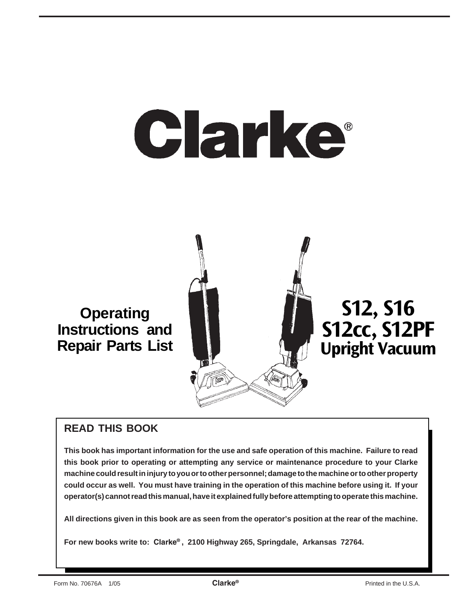# Clarke®

**Operating Instructions and Repair Parts List**

# **S12, S16 S12cc, S12PF Upright Vacuum**

## **READ THIS BOOK**

**This book has important information for the use and safe operation of this machine. Failure to read this book prior to operating or attempting any service or maintenance procedure to your Clarke machine could result in injury to you or to other personnel; damage to the machine or to other property could occur as well. You must have training in the operation of this machine before using it. If your operator(s) cannot read this manual, have it explained fully before attempting to operate this machine.**

**All directions given in this book are as seen from the operator's position at the rear of the machine.**

**For new books write to: Clarke® , 2100 Highway 265, Springdale, Arkansas 72764.**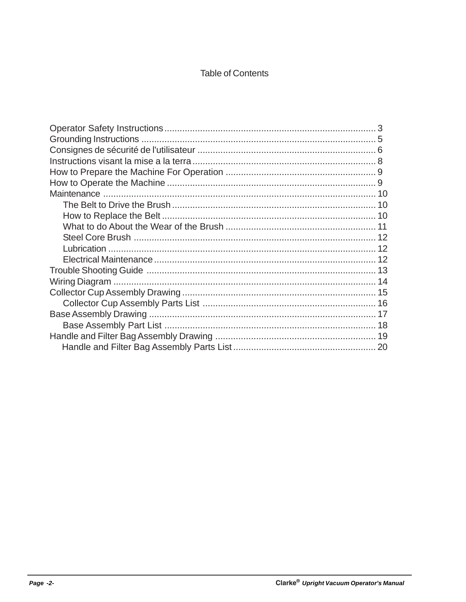### **Table of Contents**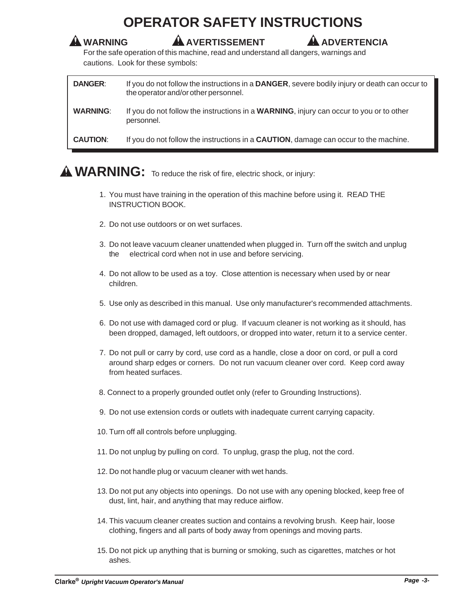## **OPERATOR SAFETY INSTRUCTIONS**

#### **WARNING AVERTISSEMENT ADVERTENCIA**

For the safe operation of this machine, read and understand all dangers, warnings and cautions. Look for these symbols:

| <b>DANGER:</b>  | If you do not follow the instructions in a DANGER, severe bodily injury or death can occur to<br>the operator and/or other personnel. |
|-----------------|---------------------------------------------------------------------------------------------------------------------------------------|
| <b>WARNING:</b> | If you do not follow the instructions in a <b>WARNING</b> , injury can occur to you or to other<br>personnel.                         |
| <b>CAUTION:</b> | If you do not follow the instructions in a <b>CAUTION</b> , damage can occur to the machine.                                          |

## **WARNING:** To reduce the risk of fire, electric shock, or injury:

- 1. You must have training in the operation of this machine before using it. READ THE INSTRUCTION BOOK.
- 2. Do not use outdoors or on wet surfaces.
- 3. Do not leave vacuum cleaner unattended when plugged in. Turn off the switch and unplug the electrical cord when not in use and before servicing.
- 4. Do not allow to be used as a toy. Close attention is necessary when used by or near children.
- 5. Use only as described in this manual. Use only manufacturer's recommended attachments.
- 6. Do not use with damaged cord or plug. If vacuum cleaner is not working as it should, has been dropped, damaged, left outdoors, or dropped into water, return it to a service center.
- 7. Do not pull or carry by cord, use cord as a handle, close a door on cord, or pull a cord around sharp edges or corners. Do not run vacuum cleaner over cord. Keep cord away from heated surfaces.
- 8. Connect to a properly grounded outlet only (refer to Grounding Instructions).
- 9. Do not use extension cords or outlets with inadequate current carrying capacity.
- 10. Turn off all controls before unplugging.
- 11. Do not unplug by pulling on cord. To unplug, grasp the plug, not the cord.
- 12. Do not handle plug or vacuum cleaner with wet hands.
- 13. Do not put any objects into openings. Do not use with any opening blocked, keep free of dust, lint, hair, and anything that may reduce airflow.
- 14. This vacuum cleaner creates suction and contains a revolving brush. Keep hair, loose clothing, fingers and all parts of body away from openings and moving parts.
- 15. Do not pick up anything that is burning or smoking, such as cigarettes, matches or hot ashes.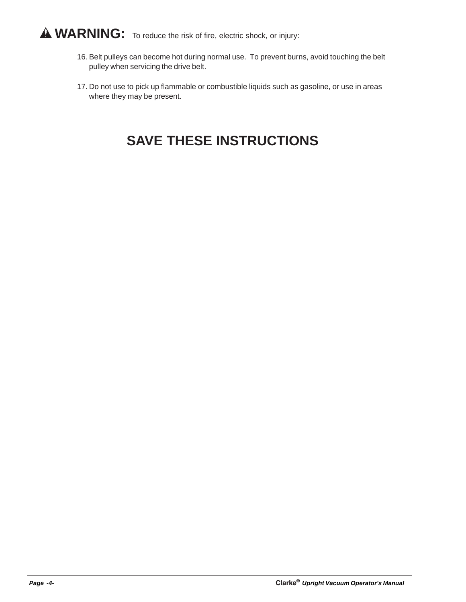## **WARNING:** To reduce the risk of fire, electric shock, or injury:

- 16. Belt pulleys can become hot during normal use. To prevent burns, avoid touching the belt pulley when servicing the drive belt.
- 17. Do not use to pick up flammable or combustible liquids such as gasoline, or use in areas where they may be present.

## **SAVE THESE INSTRUCTIONS**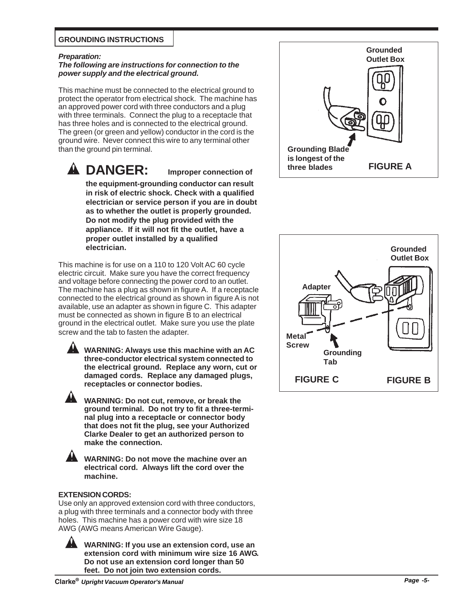#### **GROUNDING INSTRUCTIONS**

#### *Preparation:*

#### *The following are instructions for connection to the power supply and the electrical ground.*

This machine must be connected to the electrical ground to protect the operator from electrical shock. The machine has an approved power cord with three conductors and a plug with three terminals. Connect the plug to a receptacle that has three holes and is connected to the electrical ground. The green (or green and yellow) conductor in the cord is the ground wire. Never connect this wire to any terminal other than the ground pin terminal.

**DANGER: Improper connection of the equipment-grounding conductor can result in risk of electric shock. Check with a qualified electrician or service person if you are in doubt as to whether the outlet is properly grounded. Do not modify the plug provided with the appliance. If it will not fit the outlet, have a proper outlet installed by a qualified electrician.**

This machine is for use on a 110 to 120 Volt AC 60 cycle electric circuit. Make sure you have the correct frequency and voltage before connecting the power cord to an outlet. The machine has a plug as shown in figure A. If a receptacle connected to the electrical ground as shown in figure A is not available, use an adapter as shown in figure C. This adapter must be connected as shown in figure B to an electrical ground in the electrical outlet. Make sure you use the plate screw and the tab to fasten the adapter.

**WARNING: Always use this machine with an AC three-conductor electrical system connected to the electrical ground. Replace any worn, cut or damaged cords. Replace any damaged plugs, receptacles or connector bodies.**

**WARNING: Do not cut, remove, or break the ground terminal. Do not try to fit a three-terminal plug into a receptacle or connector body that does not fit the plug, see your Authorized Clarke Dealer to get an authorized person to make the connection.**

**WARNING: Do not move the machine over an electrical cord. Always lift the cord over the machine.**

#### **EXTENSION CORDS:**

Use only an approved extension cord with three conductors, a plug with three terminals and a connector body with three holes. This machine has a power cord with wire size 18 AWG (AWG means American Wire Gauge).

> **WARNING: If you use an extension cord, use an extension cord with minimum wire size 16 AWG. Do not use an extension cord longer than 50 feet. Do not join two extension cords.**



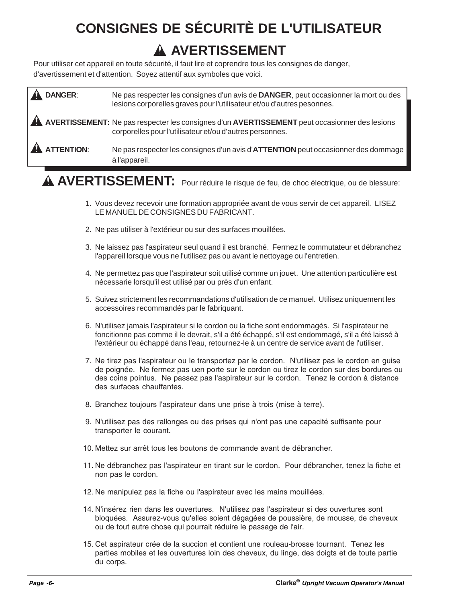## **CONSIGNES DE SÉCURITÈ DE L'UTILISATEUR AVERTISSEMENT**

Pour utiliser cet appareil en toute sécurité, il faut lire et coprendre tous les consignes de danger, d'avertissement et d'attention. Soyez attentif aux symboles que voici.

| <b>DANGER:</b> | Ne pas respecter les consignes d'un avis de DANGER, peut occasionner la mort ou des<br>lesions corporelles graves pour l'utilisateur et/ou d'autres pesonnes. |
|----------------|---------------------------------------------------------------------------------------------------------------------------------------------------------------|
|                | A AVERTISSEMENT: Ne pas respecter les consignes d'un AVERTISSEMENT peut occasionner des lesions<br>corporelles pour l'utilisateur et/ou d'autres personnes.   |
| A ATTENTION:   | Ne pas respecter les consignes d'un avis d'ATTENTION peut occasionner des dommage<br>à l'appareil.                                                            |

## **AVERTISSEMENT:** Pour réduire le risque de feu, de choc électrique, ou de blessure:

- 1. Vous devez recevoir une formation appropriée avant de vous servir de cet appareil. LISEZ LE MANUEL DE CONSIGNES DU FABRICANT.
- 2. Ne pas utiliser à l'extérieur ou sur des surfaces mouillées.
- 3. Ne laissez pas l'aspirateur seul quand il est branché. Fermez le commutateur et débranchez l'appareil lorsque vous ne l'utilisez pas ou avant le nettoyage ou l'entretien.
- 4. Ne permettez pas que l'aspirateur soit utilisé comme un jouet. Une attention particulière est nécessarie lorsqu'il est utilisé par ou près d'un enfant.
- 5. Suivez strictement les recommandations d'utilisation de ce manuel. Utilisez uniquement les accessoires recommandés par le fabriquant.
- 6. N'utilisez jamais l'aspirateur si le cordon ou la fiche sont endommagés. Si l'aspirateur ne foncitionne pas comme il le devrait, s'il a été échappé, s'il est endommagé, s'il a été laissé à l'extérieur ou échappé dans l'eau, retournez-le à un centre de service avant de l'utiliser.
- 7. Ne tirez pas l'aspirateur ou le transportez par le cordon. N'utilisez pas le cordon en guise de poignée. Ne fermez pas uen porte sur le cordon ou tirez le cordon sur des bordures ou des coins pointus. Ne passez pas l'aspirateur sur le cordon. Tenez le cordon à distance des surfaces chauffantes.
- 8. Branchez toujours l'aspirateur dans une prise à trois (mise à terre).
- 9. N'utilisez pas des rallonges ou des prises qui n'ont pas une capacité suffisante pour transporter le courant.
- 10. Mettez sur arrêt tous les boutons de commande avant de débrancher.
- 11. Ne débranchez pas l'aspirateur en tirant sur le cordon. Pour débrancher, tenez la fiche et non pas le cordon.
- 12. Ne manipulez pas la fiche ou l'aspirateur avec les mains mouillées.
- 14. N'insérez rien dans les ouvertures. N'utilisez pas l'aspirateur si des ouvertures sont bloquées. Assurez-vous qu'elles soient dégagées de poussière, de mousse, de cheveux ou de tout autre chose qui pourrait réduire le passage de l'air.
- 15. Cet aspirateur crée de la succion et contient une rouleau-brosse tournant. Tenez les parties mobiles et les ouvertures loin des cheveux, du linge, des doigts et de toute partie du corps.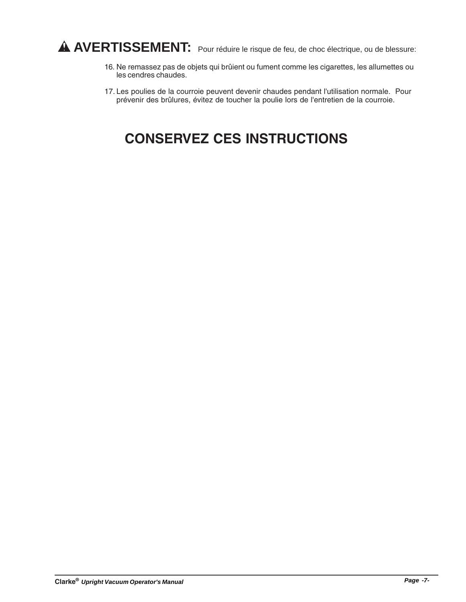## **AVERTISSEMENT:** Pour réduire le risque de feu, de choc électrique, ou de blessure:

- 16. Ne remassez pas de objets qui brûient ou fument comme les cigarettes, les allumettes ou les cendres chaudes.
- 17. Les poulies de la courroie peuvent devenir chaudes pendant l'utilisation normale. Pour prévenir des brûlures, évitez de toucher la poulie lors de l'entretien de la courroie.

## **CONSERVEZ CES INSTRUCTIONS**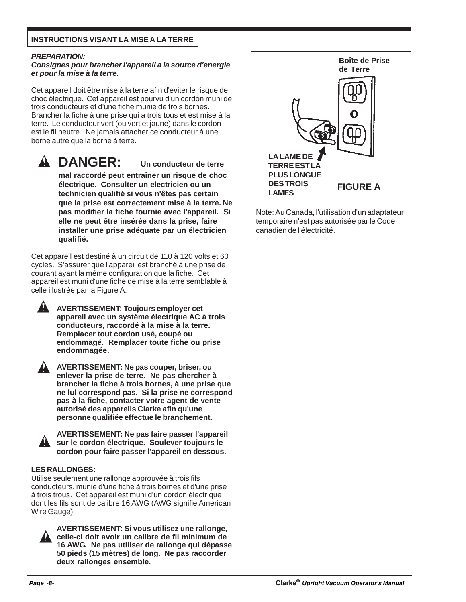#### **INSTRUCTIONS VISANT LA MISE A LA TERRE**

#### *PREPARATION:*

#### *Consignes pour brancher l'appareil a la source d'energie et pour la mise à la terre.*

Cet appareil doit être mise à la terre afin d'eviter le risque de choc électrique. Cet appareil est pourvu d'un cordon muni de trois conducteurs et d'une fiche munie de trois bornes. Brancher la fiche à une prise qui a trois tous et est mise à la terre. Le conducteur vert (ou vert et jaune) dans le cordon est le fil neutre. Ne jamais attacher ce conducteur à une borne autre que la borne à terre.

#### **DANGER: Un conducteur de terre mal raccordé peut entraîner un risque de choc**

**électrique. Consulter un electricien ou un technicien qualifié si vous n'êtes pas certain que la prise est correctement mise à la terre. Ne pas modifier la fiche fournie avec l'appareil. Si elle ne peut être insérée dans la prise, faire installer une prise adéquate par un électricien qualifié.**

Cet appareil est destiné à un circuit de 110 à 120 volts et 60 cycles. S'assurer que l'appareil est branché à une prise de courant ayant la même configuration que la fiche. Cet appareil est muni d'une fiche de mise à la terre semblable à celle illustrée par la Figure A.

**AVERTISSEMENT: Toujours employer cet appareil avec un système électrique AC à trois conducteurs, raccordé à la mise à la terre. Remplacer tout cordon usé, coupé ou endommagé. Remplacer toute fiche ou prise endommagée.**

**AVERTISSEMENT: Ne pas couper, briser, ou enlever la prise de terre. Ne pas chercher à brancher la fiche à trois bornes, à une prise que ne lul correspond pas. Si la prise ne correspond pas à la fiche, contacter votre agent de vente autorisé des appareils Clarke afin qu'une personne qualifiée effectue le branchement.**



**AVERTISSEMENT: Ne pas faire passer l'appareil sur le cordon électrique. Soulever toujours le cordon pour faire passer l'appareil en dessous.**

#### **LES RALLONGES:**

Utilise seulement une rallonge approuvée à trois fils conducteurs, munie d'une fiche à trois bornes et d'une prise à trois trous. Cet appareil est muni d'un cordon électrique dont les fils sont de calibre 16 AWG (AWG signifie American Wire Gauge).



**AVERTISSEMENT: Si vous utilisez une rallonge, celle-ci doit avoir un calibre de fil minimum de 16 AWG. Ne pas utiliser de rallonge qui dépasse 50 pieds (15 mètres) de long. Ne pas raccorder deux rallonges ensemble.**



Note: Au Canada, l'utilisation d'un adaptateur temporaire n'est pas autorisée par le Code canadien de l'électricité.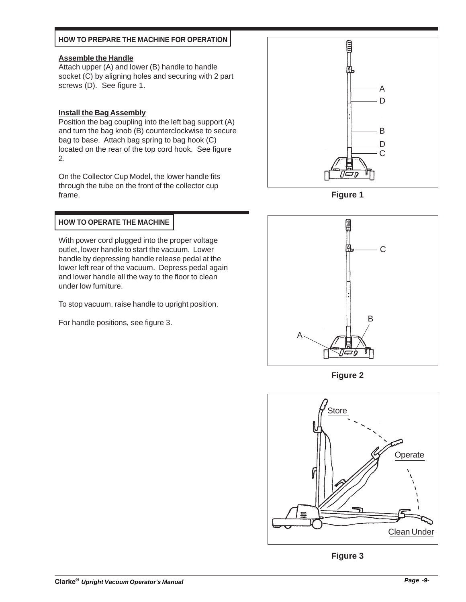#### **HOW TO PREPARE THE MACHINE FOR OPERATION**

#### **Assemble the Handle**

Attach upper (A) and lower (B) handle to handle socket (C) by aligning holes and securing with 2 part screws (D). See figure 1.

#### **Install the Bag Assembly**

Position the bag coupling into the left bag support (A) and turn the bag knob (B) counterclockwise to secure bag to base. Attach bag spring to bag hook (C) located on the rear of the top cord hook. See figure 2.

On the Collector Cup Model, the lower handle fits through the tube on the front of the collector cup frame.



With power cord plugged into the proper voltage outlet, lower handle to start the vacuum. Lower handle by depressing handle release pedal at the lower left rear of the vacuum. Depress pedal again and lower handle all the way to the floor to clean under low furniture.

To stop vacuum, raise handle to upright position.

For handle positions, see figure 3.



**Figure 1**



**Figure 2**



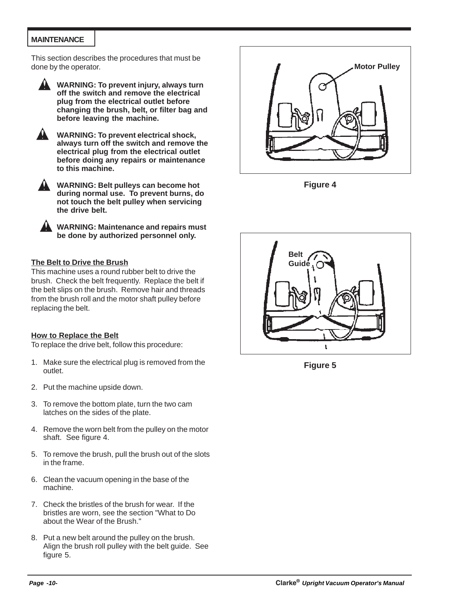#### **MAINTENANCE**

This section describes the procedures that must be done by the operator.



**WARNING: To prevent injury, always turn off the switch and remove the electrical plug from the electrical outlet before changing the brush, belt, or filter bag and before leaving the machine.**



**WARNING: To prevent electrical shock, always turn off the switch and remove the electrical plug from the electrical outlet before doing any repairs or maintenance to this machine.**



**WARNING: Maintenance and repairs must be done by authorized personnel only.**

#### **The Belt to Drive the Brush**

This machine uses a round rubber belt to drive the brush. Check the belt frequently. Replace the belt if the belt slips on the brush. Remove hair and threads from the brush roll and the motor shaft pulley before replacing the belt.

#### **How to Replace the Belt**

To replace the drive belt, follow this procedure:

- 1. Make sure the electrical plug is removed from the outlet.
- 2. Put the machine upside down.
- 3. To remove the bottom plate, turn the two cam latches on the sides of the plate.
- 4. Remove the worn belt from the pulley on the motor shaft. See figure 4.
- 5. To remove the brush, pull the brush out of the slots in the frame.
- 6. Clean the vacuum opening in the base of the machine.
- 7. Check the bristles of the brush for wear. If the bristles are worn, see the section "What to Do about the Wear of the Brush."
- 8. Put a new belt around the pulley on the brush. Align the brush roll pulley with the belt guide. See figure 5.



**Figure 4**



**Figure 5**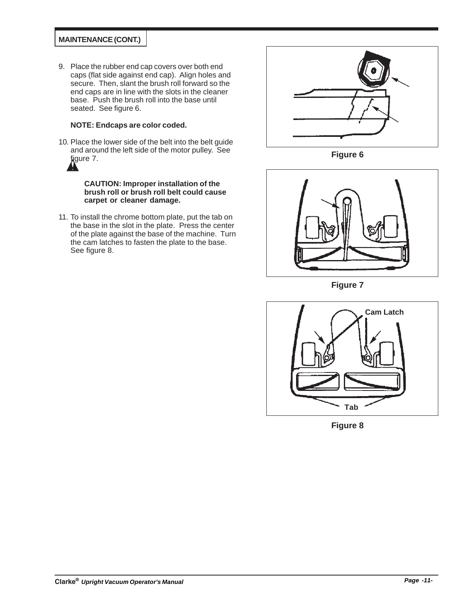#### **MAINTENANCE (CONT.)**

9. Place the rubber end cap covers over both end caps (flat side against end cap). Align holes and secure. Then, slant the brush roll forward so the end caps are in line with the slots in the cleaner base. Push the brush roll into the base until seated. See figure 6.

#### **NOTE: Endcaps are color coded.**

10. Place the lower side of the belt into the belt guide and around the left side of the motor pulley. See figure 7.

> **CAUTION: Improper installation of the brush roll or brush roll belt could cause carpet or cleaner damage.**

11. To install the chrome bottom plate, put the tab on the base in the slot in the plate. Press the center of the plate against the base of the machine. Turn the cam latches to fasten the plate to the base. See figure 8.



**Figure 6**



**Figure 7**



**Figure 8**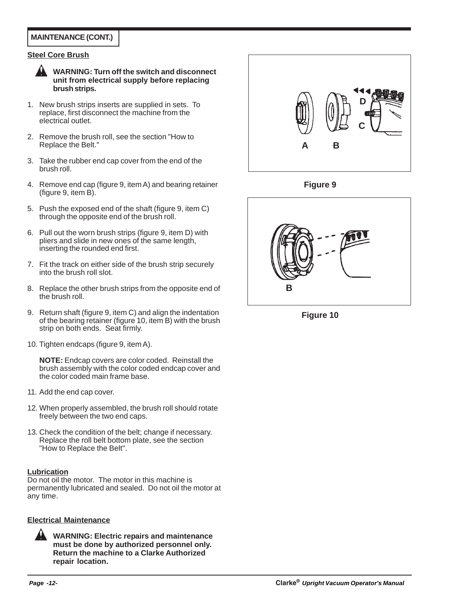#### **MAINTENANCE (CONT.)**

#### **Steel Core Brush**



**WARNING: Turn off the switch and disconnect unit from electrical supply before replacing brush strips.**

- 1. New brush strips inserts are supplied in sets. To replace, first disconnect the machine from the electrical outlet.
- 2. Remove the brush roll, see the section "How to Replace the Belt."
- 3. Take the rubber end cap cover from the end of the brush roll.
- 4. Remove end cap (figure 9, item A) and bearing retainer (figure 9, item B).
- 5. Push the exposed end of the shaft (figure 9, item C) through the opposite end of the brush roll.
- 6. Pull out the worn brush strips (figure 9, item D) with pliers and slide in new ones of the same length, inserting the rounded end first.
- 7. Fit the track on either side of the brush strip securely into the brush roll slot.
- 8. Replace the other brush strips from the opposite end of the brush roll.
- 9. Return shaft (figure 9, item C) and align the indentation of the bearing retainer (figure 10, item B) with the brush strip on both ends. Seat firmly.
- 10. Tighten endcaps (figure 9, item A).

**NOTE:** Endcap covers are color coded. Reinstall the brush assembly with the color coded endcap cover and the color coded main frame base.

- 11. Add the end cap cover.
- 12. When properly assembled, the brush roll should rotate freely between the two end caps.
- 13. Check the condition of the belt; change if necessary. Replace the roll belt bottom plate, see the section "How to Replace the Belt".

#### **Lubrication**

Do not oil the motor. The motor in this machine is permanently lubricated and sealed. Do not oil the motor at any time.

#### **Electrical Maintenance**



**WARNING: Electric repairs and maintenance must be done by authorized personnel only. Return the machine to a Clarke Authorized repair location.**



**Figure 9**



**Figure 10**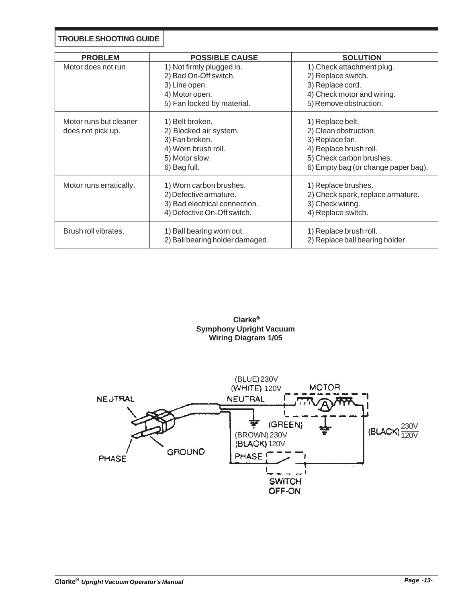**TROUBLE SHOOTING GUIDE**

| <b>PROBLEM</b>                              | <b>POSSIBLE CAUSE</b>                                                                                                | <b>SOLUTION</b>                                                                                                                                           |
|---------------------------------------------|----------------------------------------------------------------------------------------------------------------------|-----------------------------------------------------------------------------------------------------------------------------------------------------------|
| Motor does not run.                         | 1) Not firmly plugged in.<br>2) Bad On-Off switch.<br>3) Line open.<br>4) Motor open.<br>5) Fan locked by material.  | 1) Check attachment plug.<br>2) Replace switch.<br>3) Replace cord.<br>4) Check motor and wiring.<br>5) Remove obstruction.                               |
| Motor runs but cleaner<br>does not pick up. | 1) Belt broken.<br>2) Blocked air system.<br>3) Fan broken.<br>4) Worn brush roll.<br>5) Motor slow.<br>6) Bag full. | 1) Replace belt.<br>2) Clean obstruction.<br>3) Replace fan.<br>4) Replace brush roll.<br>5) Check carbon brushes.<br>6) Empty bag (or change paper bag). |
| Motor runs erratically.                     | 1) Worn carbon brushes.<br>2) Defective armature.<br>3) Bad electrical connection.<br>4) Defective On-Off switch.    | 1) Replace brushes.<br>2) Check spark, replace armature.<br>3) Check wiring.<br>4) Replace switch.                                                        |
| Brush roll vibrates.                        | 1) Ball bearing worn out.<br>2) Ball bearing holder damaged.                                                         | 1) Replace brush roll.<br>2) Replace ball bearing holder.                                                                                                 |



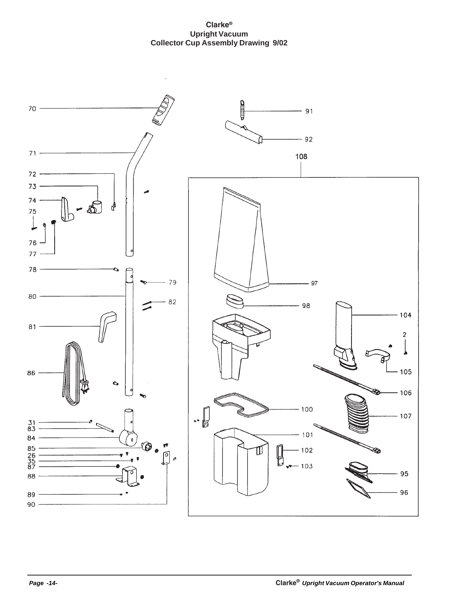#### **Clarke® Upright Vacuum Collector Cup Assembly Drawing 9/02**

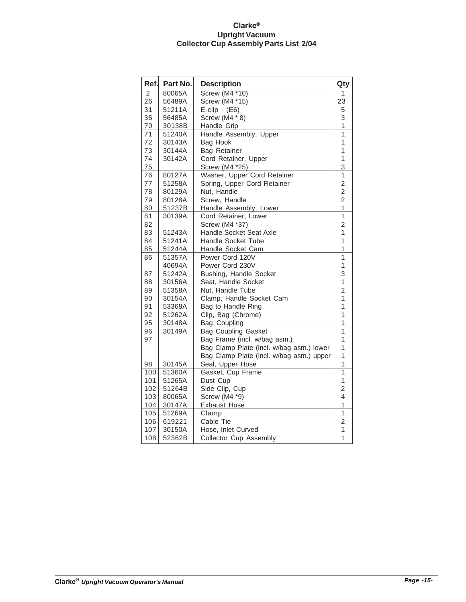#### **Clarke® Upright Vacuum Collector Cup Assembly Parts List 2/04**

| Ref. | Part No. | <b>Description</b>                       | Qty            |
|------|----------|------------------------------------------|----------------|
| 2    | 80065A   | <b>Screw (M4 *10)</b>                    | 1              |
| 26   | 56489A   | Screw (M4 *15)                           | 23             |
| 31   | 51211A   | $E\text{-clip}$ (E6)                     | 5              |
| 35   | 56485A   | Screw (M4 * 8)                           | 3              |
| 70   | 30138B   | Handle Grip                              | 1              |
| 71   | 51240A   | Handle Assembly, Upper                   | 1              |
| 72   | 30143A   | <b>Bag Hook</b>                          | 1              |
| 73   | 30144A   | <b>Bag Retainer</b>                      | 1              |
| 74   | 30142A   | Cord Retainer, Upper                     | $\mathbf{1}$   |
| 75   |          | Screw (M4 *25)                           | 3              |
| 76   | 80127A   | Washer, Upper Cord Retainer              | $\mathbf{1}$   |
| 77   | 51258A   | Spring, Upper Cord Retainer              | $\overline{2}$ |
| 78   | 80129A   | Nut, Handle                              | $\overline{c}$ |
| 79   | 80128A   | Screw, Handle                            | $\overline{2}$ |
| 80   | 51237B   | Handle Assembly, Lower                   | $\overline{1}$ |
| 81   | 30139A   | Cord Retainer, Lower                     | 1              |
| 82   |          | Screw (M4 *37)                           | 2              |
| 83   | 51243A   | Handle Socket Seat Axle                  | 1              |
| 84   | 51241A   | Handle Socket Tube                       | 1              |
| 85   | 51244A   | Handle Socket Cam                        | 1              |
| 86   | 51357A   | Power Cord 120V                          | $\mathbf{1}$   |
|      | 40694A   | Power Cord 230V                          | 1              |
| 87   | 51242A   | Bushing, Handle Socket                   | 3              |
| 88   | 30156A   | Seat. Handle Socket                      | $\mathbf{1}$   |
| 89   | 51358A   | Nut, Handle Tube                         | $\overline{2}$ |
| 90   | 30154A   | Clamp, Handle Socket Cam                 | 1              |
| 91   | 53368A   | Bag to Handle Ring                       | 1              |
| 92   | 51262A   | Clip, Bag (Chrome)                       | 1              |
| 95   | 30148A   | Bag Coupling                             | 1              |
| 96   | 30149A   | <b>Bag Coupling Gasket</b>               | 1              |
| 97   |          | Bag Frame (incl. w/bag asm.)             | 1              |
|      |          | Bag Clamp Plate (incl. w/bag asm.) lower | 1              |
|      |          | Bag Clamp Plate (incl. w/bag asm.) upper | 1              |
| 98   | 30145A   | Seal, Upper Hose                         | 1              |
| 100  | 51360A   | Gasket, Cup Frame                        | $\mathbf{1}$   |
| 101  | 51265A   | Dust Cup                                 | 1              |
| 102  | 51264B   | Side Clip, Cup                           | $\overline{2}$ |
| 103  | 80065A   | Screw (M4 *9)                            | 4              |
| 104  | 30147A   | <b>Exhaust Hose</b>                      | 1              |
| 105  | 51269A   | Clamp                                    | 1              |
| 106  | 619221   | Cable Tie                                | 2              |
| 107  | 30150A   | Hose, Inlet Curved                       | 1              |
| 108  | 52362B   | <b>Collector Cup Assembly</b>            | 1              |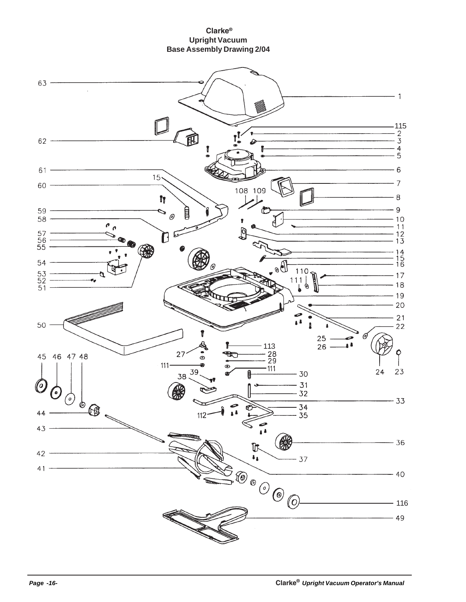#### **Upright Vacuum Base Assembly Drawing 2/04 Clarke®**

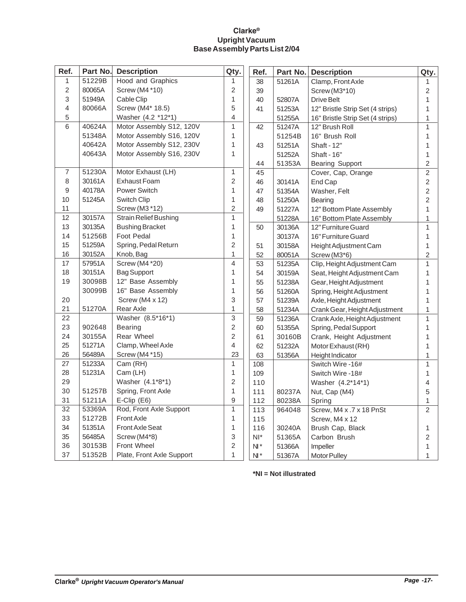#### **Clarke® Upright Vacuum Base Assembly Parts List 2/04**

| Ref.            |        | <b>Part No. Description</b>  | Qty.           | Ref.   | Part No. | <b>Description</b>               | Qty.           |
|-----------------|--------|------------------------------|----------------|--------|----------|----------------------------------|----------------|
| $\mathbf{1}$    | 51229B | Hood and Graphics            | 1              | 38     | 51261A   | Clamp, Front Axle                | 1              |
| $\overline{2}$  | 80065A | Screw (M4 *10)               | 2              | 39     |          | Screw (M3*10)                    | $\sqrt{2}$     |
| 3               | 51949A | Cable Clip                   | 1              | 40     | 52807A   | <b>Drive Belt</b>                | $\mathbf{1}$   |
| $\overline{4}$  | 80066A | Screw (M4* 18.5)             | 5              | 41     | 51253A   | 12" Bristle Strip Set (4 strips) | 1              |
| 5               |        | Washer (4.2 *12*1)           | 4              |        | 51255A   | 16" Bristle Strip Set (4 strips) | 1              |
| 6               | 40624A | Motor Assembly S12, 120V     | $\mathbf{1}$   | 42     | 51247A   | 12" Brush Roll                   | $\mathbf{1}$   |
|                 | 51348A | Motor Assembly S16, 120V     | 1              |        | 51254B   | 16" Brush Roll                   | 1              |
|                 | 40642A | Motor Assembly S12, 230V     | $\mathbf{1}$   | 43     | 51251A   | Shaft - 12"                      | 1              |
|                 | 40643A | Motor Assembly S16, 230V     | $\mathbf{1}$   |        | 51252A   | Shaft - 16"                      | 1              |
|                 |        |                              |                | 44     | 51353A   | <b>Bearing Support</b>           | $\overline{2}$ |
| $\overline{7}$  | 51230A | Motor Exhaust (LH)           | $\mathbf{1}$   | 45     |          | Cover, Cap, Orange               | $\overline{2}$ |
| 8               | 30161A | <b>Exhaust Foam</b>          | $\overline{c}$ | 46     | 30141A   | End Cap                          | $\overline{2}$ |
| 9               | 40178A | Power Switch                 | 1              | 47     | 51354A   | Washer, Felt                     | $\overline{2}$ |
| 10              | 51245A | <b>Switch Clip</b>           | $\mathbf{1}$   | 48     | 51250A   | <b>Bearing</b>                   | $\overline{2}$ |
| 11              |        | Screw (M3 *12)               | $\overline{2}$ | 49     | 51227A   | 12" Bottom Plate Assembly        | $\mathbf{1}$   |
| 12              | 30157A | <b>Strain Relief Bushing</b> | $\mathbf{1}$   |        | 51228A   | 16" Bottom Plate Assembly        | 1              |
| 13              | 30135A | <b>Bushing Bracket</b>       | $\mathbf{1}$   | 50     | 30136A   | 12" Furniture Guard              | $\mathbf{1}$   |
| 14              | 51256B | <b>Foot Pedal</b>            | 1              |        | 30137A   | 16" Furniture Guard              | $\mathbf{1}$   |
| 15              | 51259A | Spring, Pedal Return         | $\overline{2}$ | 51     | 30158A   | Height Adjustment Cam            | 1              |
| 16              | 30152A | Knob, Bag                    | $\mathbf{1}$   | 52     | 80051A   | Screw (M3*6)                     | $\overline{c}$ |
| 17              | 57951A | Screw (M4 *20)               | 4              | 53     | 51235A   | Clip, Height Adjustment Cam      | $\mathbf{1}$   |
| 18              | 30151A | <b>Bag Support</b>           | $\mathbf{1}$   | 54     | 30159A   | Seat, Height Adjustment Cam      | 1              |
| 19              | 30098B | 12" Base Assembly            | $\mathbf{1}$   | 55     | 51238A   | Gear, Height Adjustment          | 1              |
|                 | 30099B | 16" Base Assembly            | 1              | 56     | 51260A   | Spring, Height Adjustment        | 1              |
| 20              |        | Screw (M4 x 12)              | 3              | 57     | 51239A   | Axle, Height Adjustment          | 1              |
| 21              | 51270A | Rear Axle                    | 1              | 58     | 51234A   | Crank Gear, Height Adjustment    | 1              |
| 22              |        | Washer (8.5*16*1)            | 3              | 59     | 51236A   | Crank Axle, Height Adjustment    | $\mathbf{1}$   |
| 23              | 902648 | <b>Bearing</b>               | $\overline{2}$ | 60     | 51355A   | Spring, Pedal Support            | $\mathbf{1}$   |
| 24              | 30155A | Rear Wheel                   | $\overline{c}$ | 61     | 30160B   | Crank, Height Adjustment         | 1              |
| 25              | 51271A | Clamp, Wheel Axle            | 4              | 62     | 51232A   | Motor Exhaust (RH)               | $\mathbf{1}$   |
| 26              | 56489A | Screw (M4 *15)               | 23             | 63     | 51356A   | Height Indicator                 | 1              |
| 27              | 51233A | Cam (RH)                     | $\mathbf{1}$   | 108    |          | Switch Wire -16#                 | $\mathbf{1}$   |
| 28              | 51231A | Cam (LH)                     | 1              | 109    |          | Switch Wire -18#                 | $\mathbf{1}$   |
| 29              |        | Washer (4.1*8*1)             | $\overline{2}$ | 110    |          | Washer (4.2*14*1)                | $\overline{4}$ |
| 30              | 51257B | Spring, Front Axle           | $\mathbf{1}$   | 111    | 80237A   | Nut, Cap (M4)                    | 5              |
| 31              | 51211A | $E$ -Clip $(E6)$             | 9              | 112    | 80238A   | Spring                           | 1              |
| $\overline{32}$ | 53369A | Rod, Front Axle Support      | $\mathbf{1}$   | 113    | 964048   | Screw, M4 x .7 x 18 PnSt         | $\overline{2}$ |
| 33              | 51272B | <b>Front Axle</b>            | 1              | 115    |          | Screw, M4 x 12                   |                |
| 34              | 51351A | <b>Front Axle Seat</b>       | 1              | 116    | 30240A   | Brush Cap, Black                 | $\mathbf{1}$   |
| 35              | 56485A | Screw (M4*8)                 | 3              | $NI^*$ | 51365A   | Carbon Brush                     | $\overline{2}$ |
| 36              | 30153B | <b>Front Wheel</b>           | 2              | $N^*$  | 51366A   | Impeller                         | 1              |
| 37              | 51352B | Plate, Front Axle Support    | $\mathbf{1}$   | $N^*$  | 51367A   | Motor Pulley                     | 1              |

**\*NI = Not illustrated**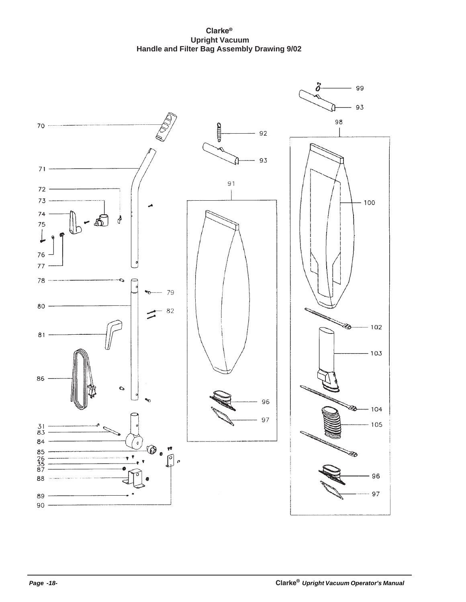**Clarke® Upright Vacuum Handle and Filter Bag Assembly Drawing 9/02**

![](_page_17_Figure_1.jpeg)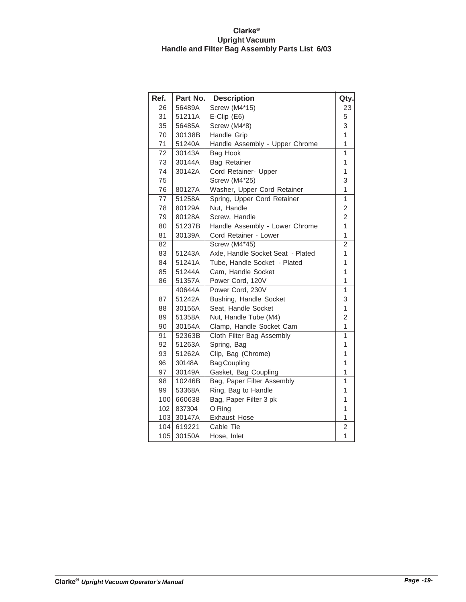#### **Clarke® Upright Vacuum Handle and Filter Bag Assembly Parts List 6/03**

| Ref. | Part No. | <b>Description</b>                | Qty.           |
|------|----------|-----------------------------------|----------------|
| 26   | 56489A   | <b>Screw (M4*15)</b>              | 23             |
| 31   | 51211A   | $E\text{-Clip}$ (E6)              | 5              |
| 35   | 56485A   | Screw (M4*8)                      |                |
| 70   | 30138B   | Handle Grip                       | 1              |
| 71   | 51240A   | Handle Assembly - Upper Chrome    | 1              |
| 72   | 30143A   | Bag Hook                          | 1              |
| 73   | 30144A   | Bag Retainer                      | 1              |
| 74   | 30142A   | Cord Retainer- Upper              | 1              |
| 75   |          | <b>Screw (M4*25)</b>              | 3              |
| 76   | 80127A   | Washer, Upper Cord Retainer       | 1              |
| 77   | 51258A   | Spring, Upper Cord Retainer       | 1              |
| 78   | 80129A   | Nut, Handle                       | $\overline{c}$ |
| 79   | 80128A   | Screw, Handle                     | $\overline{2}$ |
| 80   | 51237B   | Handle Assembly - Lower Chrome    | $\overline{1}$ |
| 81   | 30139A   | Cord Retainer - Lower             | $\overline{1}$ |
| 82   |          | <b>Screw (M4*45)</b>              | $\overline{2}$ |
| 83   | 51243A   | Axle, Handle Socket Seat - Plated | 1              |
| 84   | 51241A   | Tube, Handle Socket - Plated      | 1              |
| 85   | 51244A   | Cam, Handle Socket                | 1              |
| 86   | 51357A   | Power Cord, 120V                  | 1              |
|      | 40644A   | Power Cord, 230V                  | 1              |
| 87   | 51242A   | Bushing, Handle Socket            | 3              |
| 88   | 30156A   | Seat, Handle Socket               | $\mathbf{1}$   |
| 89   | 51358A   | Nut, Handle Tube (M4)             | 2              |
| 90   | 30154A   | Clamp, Handle Socket Cam          | 1              |
| 91   | 52363B   | Cloth Filter Bag Assembly         | 1              |
| 92   | 51263A   | Spring, Bag                       | 1              |
| 93   | 51262A   | Clip, Bag (Chrome)                | 1              |
| 96   | 30148A   | <b>Bag Coupling</b>               | 1              |
| 97   | 30149A   | Gasket, Bag Coupling              | 1              |
| 98   | 10246B   | Bag, Paper Filter Assembly        | 1              |
| 99   | 53368A   | Ring, Bag to Handle               | 1              |
| 100  | 660638   | Bag, Paper Filter 3 pk            | 1              |
| 102  | 837304   | O Ring                            | $\overline{1}$ |
| 103  | 30147A   | Exhaust Hose                      | 1              |
| 104  | 619221   | Cable Tie                         | 2              |
| 105  | 30150A   | Hose, Inlet                       | $\overline{1}$ |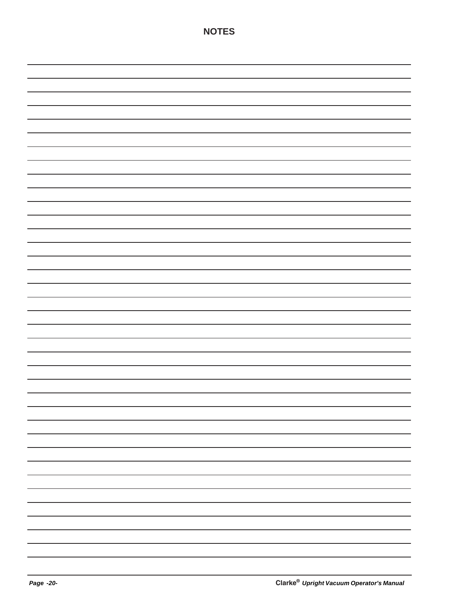|  | —                        |
|--|--------------------------|
|  | -                        |
|  | $\overline{\phantom{a}}$ |
|  | —                        |
|  | $\overline{\phantom{a}}$ |
|  | —                        |
|  | $\overline{\phantom{a}}$ |
|  | —                        |
|  |                          |
|  | —                        |
|  |                          |
|  | —                        |
|  | -                        |

**NOTES**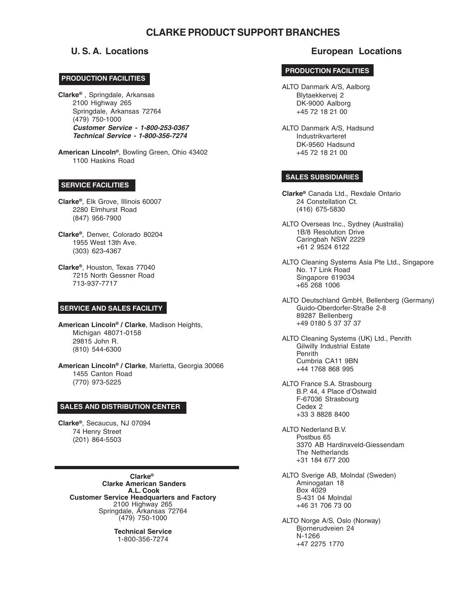#### **CLARKE PRODUCT SUPPORT BRANCHES**

#### **CORPO PRODUCTION FACILITIES**

**Clarke®** , Springdale, Arkansas 2100 Highway 265 Springdale, Arkansas 72764 (479) 750-1000 **Customer Service - 1-800-253-0367 Technical Service - 1-800-356-7274**

**American Lincoln®**, Bowling Green, Ohio 43402 1100 Haskins Road

#### **SERVICE FACILITIES**

**Clarke®**, Elk Grove, Illinois 60007 2280 Elmhurst Road (847) 956-7900

**Clarke®**, Denver, Colorado 80204 1955 West 13th Ave. (303) 623-4367

**Clarke®**, Houston, Texas 77040 7215 North Gessner Road 713-937-7717

#### **SERVICE AND SALES FACILITY**

**American Lincoln® / Clarke**, Madison Heights, Michigan 48071-0158 29815 John R. (810) 544-6300

**American Lincoln® / Clarke**, Marietta, Georgia 30066 1455 Canton Road (770) 973-5225

#### **SALES AND DISTRIBUTION CENTER**

**Clarke®**, Secaucus, NJ 07094 74 Henry Street (201) 864-5503

> **Clarke® Clarke American Sanders A.L. Cook Customer Service Headquarters and Factory** 2100 Highway 265 Springdale, Arkansas 72764 (479) 750-1000

> > **Technical Service** 1-800-356-7274

#### **U. S. A. Locations European Locations**

#### **PRODUCTION FACILITIES**

- ALTO Danmark A/S, Aalborg Blytaekkervej 2 DK-9000 Aalborg +45 72 18 21 00
- ALTO Danmark A/S, Hadsund Industrikvarteret DK-9560 Hadsund +45 72 18 21 00

#### **SALES SUBSIDIARIES**

**Clarke®** Canada Ltd., Rexdale Ontario 24 Constellation Ct. (416) 675-5830

- ALTO Overseas Inc., Sydney (Australia) 1B/8 Resolution Drive Caringbah NSW 2229 +61 2 9524 6122
- ALTO Cleaning Systems Asia Pte Ltd., Singapore No. 17 Link Road Singapore 619034 +65 268 1006
- ALTO Deutschland GmbH, Bellenberg (Germany) Guido-Oberdorfer-Straße 2-8 89287 Bellenberg +49 0180 5 37 37 37

ALTO Cleaning Systems (UK) Ltd., Penrith Gilwilly Industrial Estate Penrith Cumbria CA11 9BN +44 1768 868 995

- ALTO France S.A. Strasbourg B.P. 44, 4 Place d'Ostwald F-67036 Strasbourg Cedex 2 +33 3 8828 8400
- ALTO Nederland B.V. Postbus 65 3370 AB Hardinxveld-Giessendam The Netherlands +31 184 677 200
- ALTO Sverige AB, Molndal (Sweden) Aminogatan 18 Box 4029 S-431 04 Molndal +46 31 706 73 00

ALTO Norge A/S, Oslo (Norway) Bjornerudveien 24 N-1266 +47 2275 1770